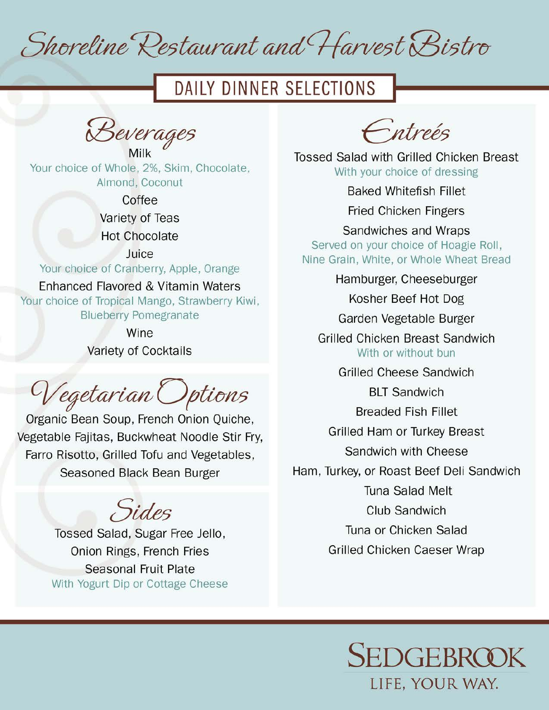Shoreline Restaurant and Harvest Bistro

# DAILY DINNER SELECTIONS

 $\sqrt{2}$ Milk,  $\omega$  cours ago,

Daily dinner Selections,

 $\frac{1}{2}$  of  $\frac{1}{2}$ Hot Chocolate,

> Coffee Enhanced Flavored & Vitamin Waters, and the Vitamin Waters, and the Vitamin Waters, and the Vitamin Waters, and the Vitamin Waters, and the Vitamin Waters, and the Vitamin Waters, and the Vitamin Waters, and the Vitamin Wa

Variety of Teas

Hot Chocolate

Vegetarian Options, horge of Cranberry, Apple, Orange Fajitas, Buckwitz Stir Fry, Fanno Risotto, Grilled Stir Fry, Fanno Risotto, G Enhanced Flavored & Vitamin Waters

Your choice of Tropical Mango, Strawberry Kiwi, **Blueberry Pomegranate** Onion Rings, French Fries,

Wine Variety of Cocktails

 $\sim$  $\epsilon$  of  $\epsilon$  is deed to zettu taht Fried Chicken Fingers,

Bean Soup, Frei Felites **Duckupest Need Nine Graph**, Bread, Mobile Graph Farro Risotto, Grilled Tofu and Vegetables, Kosher Beef Hot Dog, and Dog, and Dog, and Dog, and Dog, and Dog, and Dog, and Dog, and Dog, and Dog, and Dog,<br>The Dog, and Dog, and Dog, and Dog, and Dog, and Dog, and Dog, and Dog, and Dog, and Dog, and Dog, and Dog, an easoned Black Be

 $\sim$   $\sim$  $G: d_{\Omega}$  $\overline{\phantom{a}}$ 

and Color C Grad Garda, Ougan II Onion Rings, French Fries Ham, Turkey, or Roast Beef Deli Sandwich, deutscher Beef Deli Sandwich, deutscher Beef Deli Sandwich, deutsche<br>1980 – Andrew Schweizer, deutscher Beef Deli Sandwich, deutscher Beef Deli Sandwich, deutscher Beef Deli Sandw seasona With Yogurt Dip or Cottage Cheese  $\sim$   $\sim$ 

Sedgebrook,

Entreés

**Tossed Salad with Grilled Chicken Breast** With your choice of dressing

**Baked Whitefish Fillet** 

**Fried Chicken Fingers** 

Sandwiches and Wraps Served on your choice of Hoagie Roll, Nine Grain, White, or Whole Wheat Bread

Kosher Beef Hot Dog

Garden Vegetable Burger

**Grilled Chicken Breast Sandwich** With or without bun

**Grilled Cheese Sandwich** 

**BLT Sandwich** 

**Breaded Fish Fillet** 

Grilled Ham or Turkey Breast

Sandwich with Cheese

Ham, Turkey, or Roast Beef Deli Sandwich

Tuna Salad Melt

Club Sandwich

Tuna or Chicken Salad

Grilled Chicken Caeser Wrap